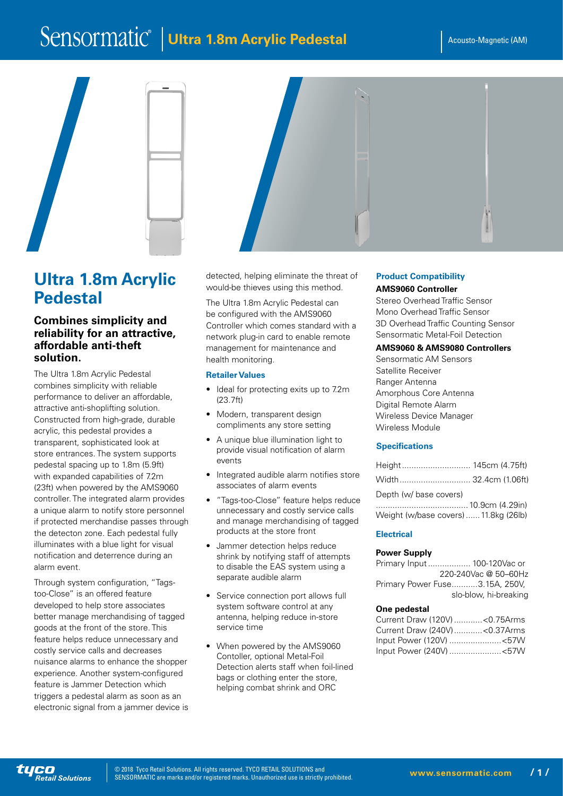# Sensormatic<sup>®</sup> | Ultra 1.8m Acrylic Pedestal | Acousto-Magnetic (AM)





## **Combines simplicity and reliability for an attractive, affordable anti-theft solution.**

The Ultra 1.8m Acrylic Pedestal combines simplicity with reliable performance to deliver an affordable, attractive anti-shoplifting solution. Constructed from high-grade, durable acrylic, this pedestal provides a transparent, sophisticated look at store entrances. The system supports pedestal spacing up to 1.8m (5.9ft) with expanded capabilities of 7.2m (23ft) when powered by the AMS9060 controller. The integrated alarm provides a unique alarm to notify store personnel if protected merchandise passes through the detecton zone. Each pedestal fully illuminates with a blue light for visual notification and deterrence during an alarm event.

Through system configuration, "Tagstoo-Close" is an offered feature developed to help store associates better manage merchandising of tagged goods at the front of the store. This feature helps reduce unnecessary and costly service calls and decreases nuisance alarms to enhance the shopper experience. Another system-configured feature is Jammer Detection which triggers a pedestal alarm as soon as an electronic signal from a jammer device is detected, helping eliminate the threat of would-be thieves using this method.

The Ultra 1.8m Acrylic Pedestal can be configured with the AMS9060 Controller which comes standard with a network plug-in card to enable remote management for maintenance and health monitoring.

## **Retailer Values**

- Ideal for protecting exits up to 7.2m (23.7ft)
- Modern, transparent design compliments any store setting
- A unique blue illumination light to provide visual notification of alarm events
- Integrated audible alarm notifies store associates of alarm events
- "Tags-too-Close" feature helps reduce unnecessary and costly service calls and manage merchandising of tagged products at the store front
- Jammer detection helps reduce shrink by notifying staff of attempts to disable the EAS system using a separate audible alarm
- Service connection port allows full system software control at any antenna, helping reduce in-store service time
- When powered by the AMS9060 Contoller, optional Metal-Foil Detection alerts staff when foil-lined bags or clothing enter the store, helping combat shrink and ORC

# **Product Compatibility**

## **AMS9060 Controller**

Stereo Overhead Traffic Sensor Mono Overhead Traffic Sensor 3D Overhead Traffic Counting Sensor Sensormatic Metal-Foil Detection

## **AMS9060 & AMS9080 Controllers**

Sensormatic AM Sensors Satellite Receiver Ranger Antenna Amorphous Core Antenna Digital Remote Alarm Wireless Device Manager Wireless Module

## **Specifications**

| Depth (w/ base covers)                |  |
|---------------------------------------|--|
|                                       |  |
| Weight (w/base covers)  11.8kg (26lb) |  |

## **Electrical**

## **Power Supply**

Primary Input.................. 100-120Vac or 220-240Vac @ 50–60Hz Primary Power Fuse...........3.15A, 250V, slo-blow, hi-breaking

#### **One pedestal**

| Current Draw (120V) < 0.75Arms |  |
|--------------------------------|--|
| Current Draw (240V) < 0.37Arms |  |
| Input Power (120V) <57W        |  |
| Input Power (240V) <57W        |  |